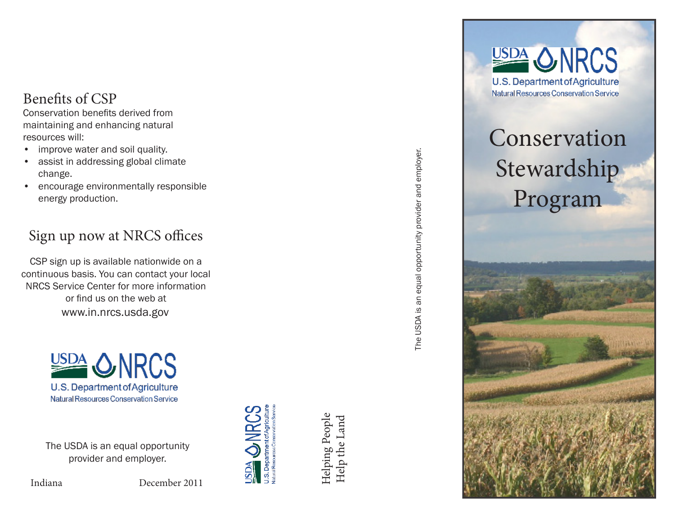#### Benefits of CSP

Conservation benefits derived from maintaining and enhancing natural resources will:

- improve water and soil quality.
- assist in addressing global climate change.
- encourage environmentally responsible energy production.

## Sign up now at NRCS offices

CSP sign up is available nationwide on a continuous basis. You can contact your local NRCS Service Center for more information or find us on the web at www.in.nrcs.usda.gov



The USDA is an equal opportunity provider and employer.

Indiana December 2011



**AGS** 

Helping People Helping People Help the Land Help the Land The USDA is an equal opportunity provider and employer. The USDA is an equal opportunity provider and employer.



# Conservation Stewardship Program